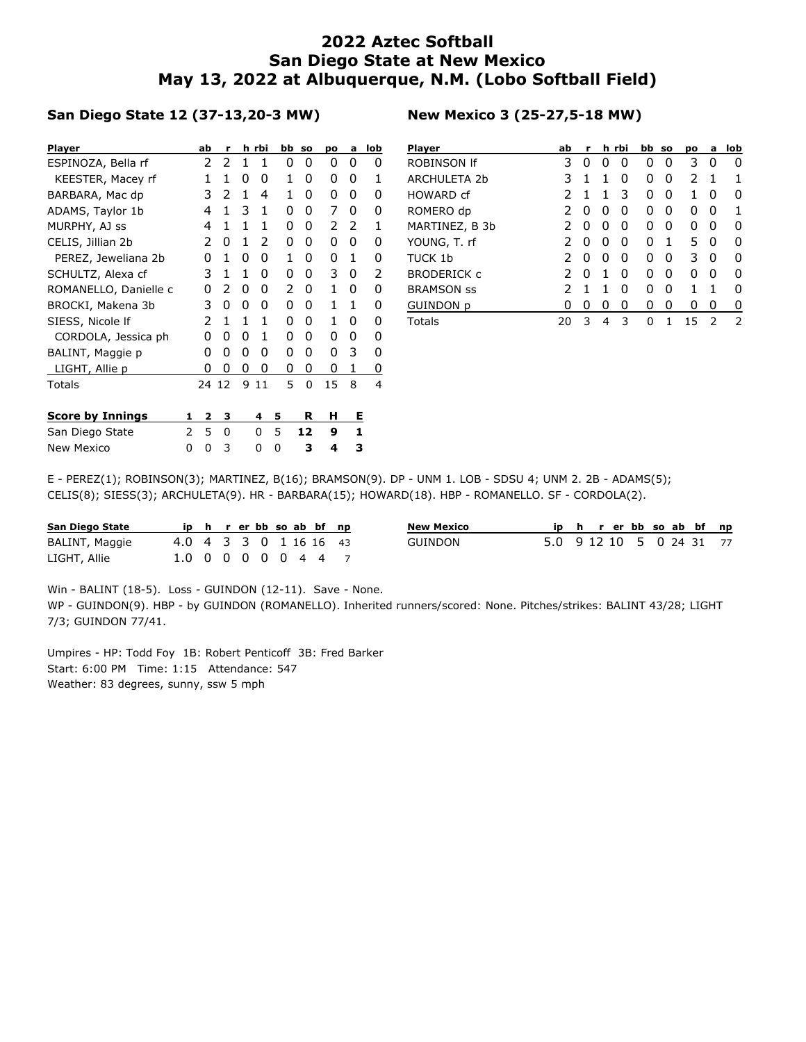## **2022 Aztec Softball San Diego State at New Mexico May 13, 2022 at Albuquerque, N.M. (Lobo Softball Field)**

## **San Diego State 12 (37-13,20-3 MW)**

| <b>Player</b>           |   | ab | r     |   | h rbi | bb | <b>SO</b> | pо | a | lob |
|-------------------------|---|----|-------|---|-------|----|-----------|----|---|-----|
| ESPINOZA, Bella rf      |   | 2  | 2     | 1 | 1     | 0  | 0         | 0  | 0 | 0   |
| KEESTER, Macey rf       |   | 1  | 1     | 0 | 0     | 1  | 0         | 0  | 0 | 1   |
| BARBARA, Mac dp         |   | 3  | 2     | 1 | 4     | 1  | 0         | 0  | 0 | 0   |
| ADAMS, Taylor 1b        |   | 4  | 1     | 3 | 1     | 0  | 0         | 7  | 0 | 0   |
| MURPHY, AJ ss           |   | 4  | 1     | 1 | 1     | 0  | 0         | 2  | 2 | 1   |
| CELIS, Jillian 2b       |   | 2  | 0     | 1 | 2     | 0  | 0         | 0  | 0 | 0   |
| PEREZ, Jeweliana 2b     |   | 0  | 1     | 0 | 0     | 1  | 0         | 0  | 1 | 0   |
| SCHULTZ, Alexa cf       |   | 3  | 1     | 1 | 0     | 0  | 0         | 3  | 0 | 2   |
| ROMANELLO, Danielle c   |   | 0  | 2     | 0 | 0     | 2  | 0         | 1  | 0 | 0   |
| BROCKI, Makena 3b       |   | 3  | 0     | 0 | 0     | 0  | 0         | 1  | 1 | 0   |
| SIESS, Nicole If        |   | 2  | 1     | 1 | 1     | 0  | 0         | 1  | 0 | 0   |
| CORDOLA, Jessica ph     |   | O  | 0     | 0 | 1     | 0  | 0         | 0  | 0 | 0   |
| BALINT, Maggie p        |   | 0  | 0     | 0 | 0     | 0  | 0         | 0  | 3 | 0   |
| LIGHT, Allie p          |   | 0  | 0     | 0 | 0     | 0  | 0         | 0  | 1 | 0   |
| Totals                  |   |    | 24 12 | 9 | 11    | 5  | 0         | 15 | 8 | 4   |
|                         |   |    |       |   |       |    |           |    |   |     |
| <b>Score by Innings</b> | 1 | 2  | з     |   | 4     | 5  | R         | н  | Е |     |
| San Diego State         | 2 | 5  | 0     |   | 0     | 5  | 12        | 9  | 1 |     |
| New Mexico              | 0 | 0  | 3     |   | 0     | 0  | 3         | 4  | З |     |

## **New Mexico 3 (25-27,5-18 MW)**

| <b>Player</b>      | ab            | r            |              | h rbi | bb so |   | pо | a            | lob |
|--------------------|---------------|--------------|--------------|-------|-------|---|----|--------------|-----|
| ROBINSON If        | 3             | $\mathbf{0}$ | $\cup$       | 0     | 0     | 0 | 3  | $\mathbf{0}$ | O   |
| ARCHULETA 2b       | 3             | 1            | 1            | 0     | 0     | 0 | 2  | 1            | 1   |
| HOWARD cf          | っ             | 1            | 1            | 3     | ი     | 0 | 1  | $\mathbf{I}$ | O   |
| ROMERO dp          | 2             | O            | O            | ŋ     | ი     | 0 | O  | O            | 1   |
| MARTINEZ, B 3b     | 2             | O            | O            | ŋ     | ი     | ი | n  | O            | O   |
| YOUNG, T. rf       | 2             | 0            | 0            | 0     | 0     | 1 | 5  | O            | n   |
| TUCK 1b            | 2             | O            | $\mathbf{0}$ | O     | O     | O | 3  | O            | O   |
| <b>BRODERICK c</b> | $\mathcal{P}$ | O            | 1            | O     | ი     | 0 | O  | $\mathbf{0}$ | n   |
| <b>BRAMSON SS</b>  | 2             | 1            | 1            | O     | ი     | O | 1  | 1            | n   |
| GUINDON p          | 0             | 0            | 0            | 0     | 0     | 0 | O  | 0            | 0   |
| Totals             | 20            | 3            | 4            | 3     | 0     | 1 | 15 | っ            | っ   |

E - PEREZ(1); ROBINSON(3); MARTINEZ, B(16); BRAMSON(9). DP - UNM 1. LOB - SDSU 4; UNM 2. 2B - ADAMS(5); CELIS(8); SIESS(3); ARCHULETA(9). HR - BARBARA(15); HOWARD(18). HBP - ROMANELLO. SF - CORDOLA(2).

| San Diego State |                        |  |  |  | ip h r er bb so ab bf np | <b>New M</b> |
|-----------------|------------------------|--|--|--|--------------------------|--------------|
| BALINT, Maggie  | 4.0 4 3 3 0 1 16 16 43 |  |  |  |                          | GUINL        |
| LIGHT, Allie    | 1.0 0 0 0 0 0 4 4 7    |  |  |  |                          |              |

| <b>New Mexico</b> |                          |  |  |  | ip h r er bb so ab bf np |  |
|-------------------|--------------------------|--|--|--|--------------------------|--|
| GUINDON           | 5.0 9 12 10 5 0 24 31 77 |  |  |  |                          |  |

Win - BALINT (18-5). Loss - GUINDON (12-11). Save - None.

WP - GUINDON(9). HBP - by GUINDON (ROMANELLO). Inherited runners/scored: None. Pitches/strikes: BALINT 43/28; LIGHT 7/3; GUINDON 77/41.

Umpires - HP: Todd Foy 1B: Robert Penticoff 3B: Fred Barker Start: 6:00 PM Time: 1:15 Attendance: 547 Weather: 83 degrees, sunny, ssw 5 mph